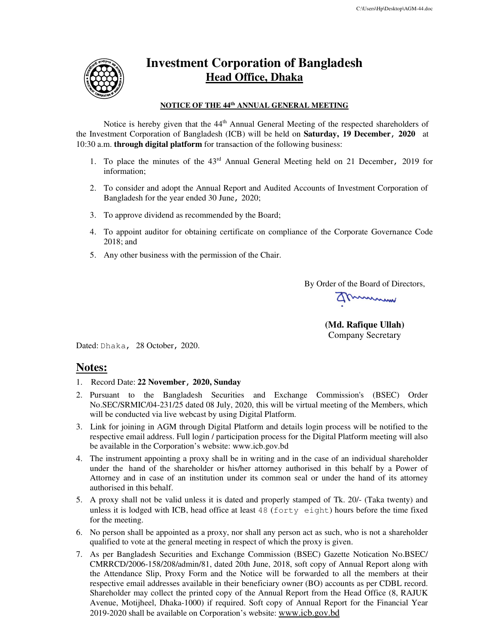

## **Investment Corporation of Bangladesh Head Office, Dhaka**

#### **NOTICE OF THE 44th ANNUAL GENERAL MEETING**

Notice is hereby given that the 44<sup>th</sup> Annual General Meeting of the respected shareholders of the Investment Corporation of Bangladesh (ICB) will be held on **Saturday, 19 December,<sup>2020</sup>** at 10:30 a.m. **through digital platform** for transaction of the following business:

- 1. To place the minutes of the 43rd Annual General Meeting held on 21 December, 2019 for information;
- 2. To consider and adopt the Annual Report and Audited Accounts of Investment Corporation of Bangladesh for the year ended 30 June, 2020;
- 3. To approve dividend as recommended by the Board;
- 4. To appoint auditor for obtaining certificate on compliance of the Corporate Governance Code 2018; and
- 5. Any other business with the permission of the Chair.

By Order of the Board of Directors,

Ammmmm

**(Md. Rafique Ullah)**  Company Secretary

Dated: Dhaka, 28 October, 2020.

### **Notes:**

- 1. Record Date: **22 November, 2020, Sunday**
- 2. Pursuant to the Bangladesh Securities and Exchange Commission's (BSEC) Order No.SEC/SRMIC/04-231/25 dated 08 July, 2020, this will be virtual meeting of the Members, which will be conducted via live webcast by using Digital Platform.
- 3. Link for joining in AGM through Digital Platform and details login process will be notified to the respective email address. Full login / participation process for the Digital Platform meeting will also be available in the Corporation's website: www.icb.gov.bd
- 4. The instrument appointing a proxy shall be in writing and in the case of an individual shareholder under the hand of the shareholder or his/her attorney authorised in this behalf by a Power of Attorney and in case of an institution under its common seal or under the hand of its attorney authorised in this behalf.
- 5. A proxy shall not be valid unless it is dated and properly stamped of Tk. 20/- (Taka twenty) and unless it is lodged with ICB, head office at least 48 (forty eight) hours before the time fixed for the meeting.
- 6. No person shall be appointed as a proxy, nor shall any person act as such, who is not a shareholder qualified to vote at the general meeting in respect of which the proxy is given.
- 7. As per Bangladesh Securities and Exchange Commission (BSEC) Gazette Notication No.BSEC/ CMRRCD/2006-158/208/admin/81, dated 20th June, 2018, soft copy of Annual Report along with the Attendance Slip, Proxy Form and the Notice will be forwarded to all the members at their respective email addresses available in their beneficiary owner (BO) accounts as per CDBL record. Shareholder may collect the printed copy of the Annual Report from the Head Office (8, RAJUK Avenue, Motijheel, Dhaka-1000) if required. Soft copy of Annual Report for the Financial Year 2019-2020 shall be available on Corporation's website: www.icb.gov.bd